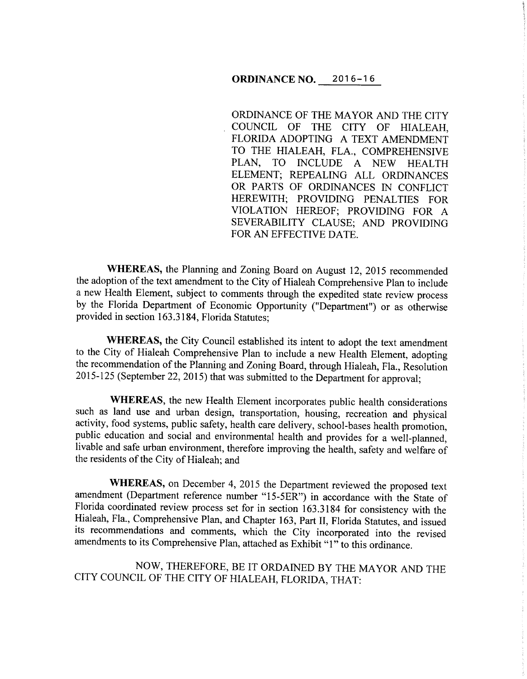### **ORDINANCE NO.** 2016-16

ORDINANCE OF THE MAYOR AND THE CITY COUNCIL OF THE CITY OF HIALEAH, FLORIDA ADOPTING A TEXT AMENDMENT TO THE HIALEAH, FLA., COMPREHENSIVE PLAN, TO INCLUDE A NEW HEALTH ELEMENT; REPEALING ALL ORDINANCES OR PARTS OF ORDINANCES IN CONFLICT HEREWITH; PROVIDING PENALTIES FOR VIOLATION HEREOF; PROVIDING FOR A SEVERABILITY CLAUSE; AND PROVIDING FOR AN EFFECTIVE DATE.

**WHEREAS,** the Planning and Zoning Board on August 12, 2015 recommended the adoption of the text amendment to the City of Hialeah Comprehensive Plan to include a new Health Element, subject to comments through the expedited state review process by the Florida Department of Economic Opportunity ("Department") or as otherwise provided in section 163.3184, Florida Statutes;

**WHEREAS,** the City Council established its intent to adopt the text amendment to the City of Hialeah Comprehensive Plan to include a new Health Element, adopting the recommendation of the Planning and Zoning Board, through Hialeah, Fla., Resolution 2015-125 (September 22, 2015) that was submitted to the Department for approval;

**WHEREAS,** the new Health Element incorporates public health considerations such as land use and urban design, transportation, housing, recreation and physical activity, food systems, public safety, health care delivery, school-bases health promotion, public education and social and environmental health and provides for a well-planned, livable and safe urban environment, therefore improving the health, safety and welfare of the residents of the City of Hialeah; and

**WHEREAS,** on December 4, 2015 the Department reviewed the proposed text amendment (Department reference number "15-5ER") in accordance with the State of Florida coordinated review process set for in section 163.3184 for consistency with the Hialeah, Fla., Comprehensive Plan, and Chapter 163, Part II, Florida Statutes, and issued its recommendations and comments, which the City incorporated into the revised amendments to its Comprehensive Plan, attached as Exhibit "1" to this ordinance.

NOW, THEREFORE, BE IT ORDAINED BY THE MAYOR AND THE CITY COUNCIL OF THE CITY OF HIALEAH, FLORIDA, THAT: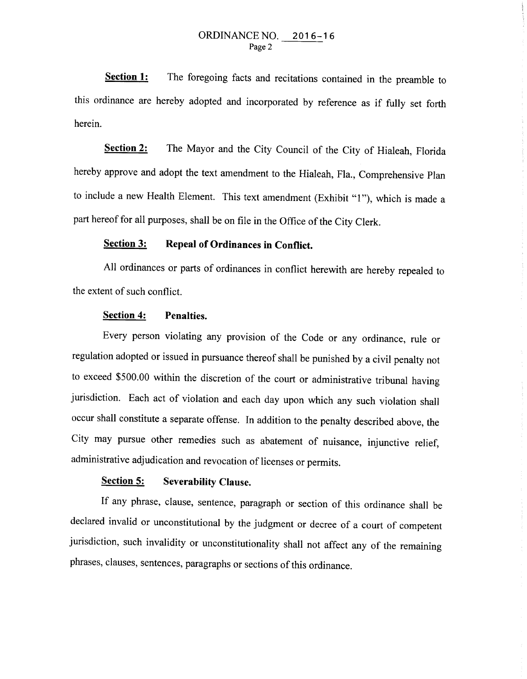**Section 1:**  The foregoing facts and recitations contained in the preamble to this ordinance are hereby adopted and incorporated by reference as if fully set forth herein.

**<u>Section 2:</u>** The Mayor and the City Council of the City of Hialeah, Florida hereby approve and adopt the text amendment to the Hialeah, Fla., Comprehensive Plan to include a new Health Element. This text amendment (Exhibit "1"), which is made a part hereof for all purposes, shall be on file in the Office of the City Clerk.

# **Section 3: Repeal of Ordinances in Conflict.**

All ordinances or parts of ordinances in conflict herewith are hereby repealed to the extent of such conflict.

#### **Section 4: Penalties.**

Every person violating any provision of the Code or any ordinance, rule or regulation adopted or issued in pursuance thereof shall be punished by a civil penalty not to exceed \$500.00 within the discretion of the court or administrative tribunal having jurisdiction. Each act of violation and each day upon which any such violation shall occur shall constitute a separate offense. In addition to the penalty described above, the City may pursue other remedies such as abatement of nuisance, injunctive relief, administrative adjudication and revocation of licenses or permits.

## **Section 5: Severability Clause.**

If any phrase, clause, sentence, paragraph or section of this ordinance shall be declared invalid or unconstitutional by the judgment or decree of a court of competent jurisdiction, such invalidity or unconstitutionality shall not affect any of the remaining phrases, clauses, sentences, paragraphs or sections of this ordinance.